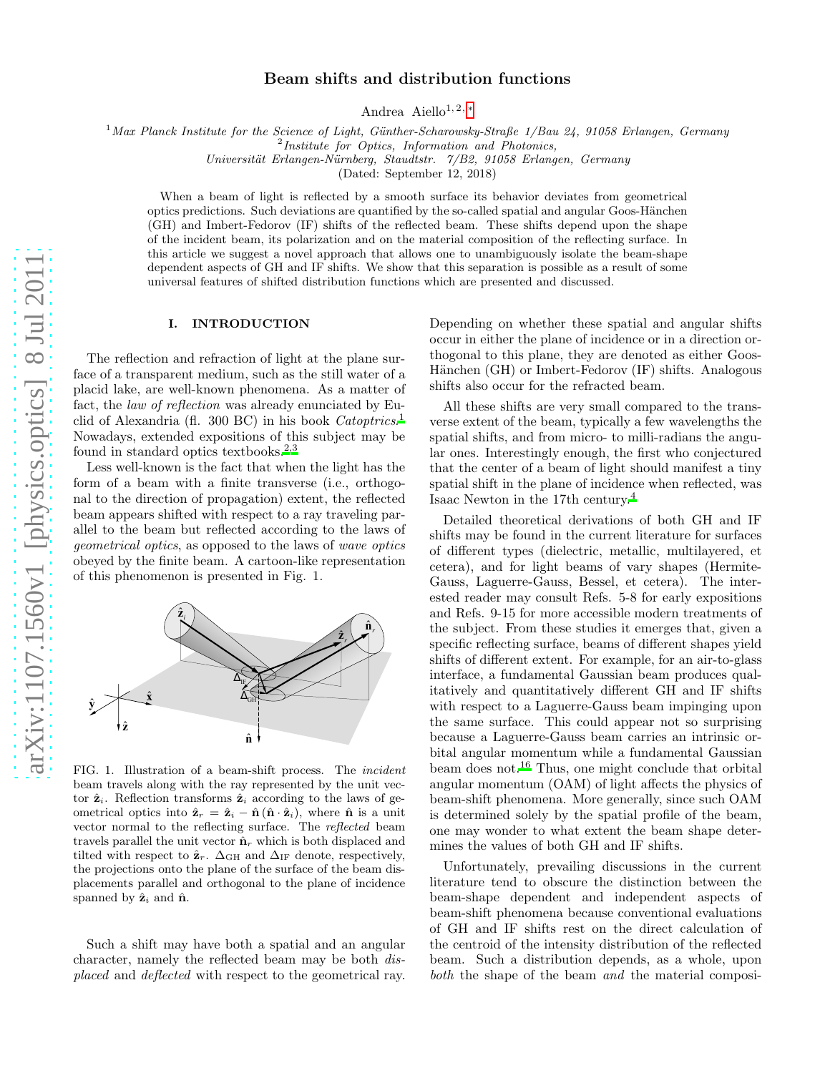# Beam shifts and distribution functions

Andrea Aiello<sup>1, 2, [∗](#page-5-0)</sup>

<sup>1</sup>Max Planck Institute for the Science of Light, Günther-Scharowsky-Straße 1/Bau 24, 91058 Erlangen, Germany

<sup>2</sup>Institute for Optics, Information and Photonics,

Universität Erlangen-Nürnberg, Staudtstr. 7/B2, 91058 Erlangen, Germany

(Dated: September 12, 2018)

When a beam of light is reflected by a smooth surface its behavior deviates from geometrical optics predictions. Such deviations are quantified by the so-called spatial and angular Goos-Hänchen (GH) and Imbert-Fedorov (IF) shifts of the reflected beam. These shifts depend upon the shape of the incident beam, its polarization and on the material composition of the reflecting surface. In this article we suggest a novel approach that allows one to unambiguously isolate the beam-shape dependent aspects of GH and IF shifts. We show that this separation is possible as a result of some universal features of shifted distribution functions which are presented and discussed.

#### I. INTRODUCTION

The reflection and refraction of light at the plane surface of a transparent medium, such as the still water of a placid lake, are well-known phenomena. As a matter of fact, the law of reflection was already enunciated by Eu-clid of Alexandria (fl. 300 BC) in his book Catoptrics.<sup>[1](#page-5-1)</sup> Nowadays, extended expositions of this subject may be found in standard optics textbooks.<sup>[2](#page-5-2)[,3](#page-5-3)</sup>

Less well-known is the fact that when the light has the form of a beam with a finite transverse (i.e., orthogonal to the direction of propagation) extent, the reflected beam appears shifted with respect to a ray traveling parallel to the beam but reflected according to the laws of geometrical optics, as opposed to the laws of wave optics obeyed by the finite beam. A cartoon-like representation of this phenomenon is presented in Fig. 1.



FIG. 1. Illustration of a beam-shift process. The incident beam travels along with the ray represented by the unit vector  $\hat{\mathbf{z}}_i$ . Reflection transforms  $\hat{\mathbf{z}}_i$  according to the laws of geometrical optics into  $\hat{\mathbf{z}}_r = \hat{\mathbf{z}}_i - \hat{\mathbf{n}} (\hat{\mathbf{n}} \cdot \hat{\mathbf{z}}_i)$ , where  $\hat{\mathbf{n}}$  is a unit vector normal to the reflecting surface. The reflected beam travels parallel the unit vector  $\hat{\mathbf{n}}_r$  which is both displaced and tilted with respect to  $\hat{\mathbf{z}}_r$ .  $\Delta_{\text{GH}}$  and  $\Delta_{\text{IF}}$  denote, respectively, the projections onto the plane of the surface of the beam displacements parallel and orthogonal to the plane of incidence spanned by  $\hat{\mathbf{z}}_i$  and  $\hat{\mathbf{n}}$ .

Such a shift may have both a spatial and an angular character, namely the reflected beam may be both displaced and deflected with respect to the geometrical ray.

Depending on whether these spatial and angular shifts occur in either the plane of incidence or in a direction orthogonal to this plane, they are denoted as either Goos-Hänchen (GH) or Imbert-Fedorov (IF) shifts. Analogous shifts also occur for the refracted beam.

All these shifts are very small compared to the transverse extent of the beam, typically a few wavelengths the spatial shifts, and from micro- to milli-radians the angular ones. Interestingly enough, the first who conjectured that the center of a beam of light should manifest a tiny spatial shift in the plane of incidence when reflected, was Isaac Newton in the 17th century.[4](#page-5-4)

Detailed theoretical derivations of both GH and IF shifts may be found in the current literature for surfaces of different types (dielectric, metallic, multilayered, et cetera), and for light beams of vary shapes (Hermite-Gauss, Laguerre-Gauss, Bessel, et cetera). The interested reader may consult Refs. 5-8 for early expositions and Refs. 9-15 for more accessible modern treatments of the subject. From these studies it emerges that, given a specific reflecting surface, beams of different shapes yield shifts of different extent. For example, for an air-to-glass interface, a fundamental Gaussian beam produces qualitatively and quantitatively different GH and IF shifts with respect to a Laguerre-Gauss beam impinging upon the same surface. This could appear not so surprising because a Laguerre-Gauss beam carries an intrinsic orbital angular momentum while a fundamental Gaussian beam does not.[16](#page-5-5) Thus, one might conclude that orbital angular momentum (OAM) of light affects the physics of beam-shift phenomena. More generally, since such OAM is determined solely by the spatial profile of the beam, one may wonder to what extent the beam shape determines the values of both GH and IF shifts.

Unfortunately, prevailing discussions in the current literature tend to obscure the distinction between the beam-shape dependent and independent aspects of beam-shift phenomena because conventional evaluations of GH and IF shifts rest on the direct calculation of the centroid of the intensity distribution of the reflected beam. Such a distribution depends, as a whole, upon both the shape of the beam and the material composi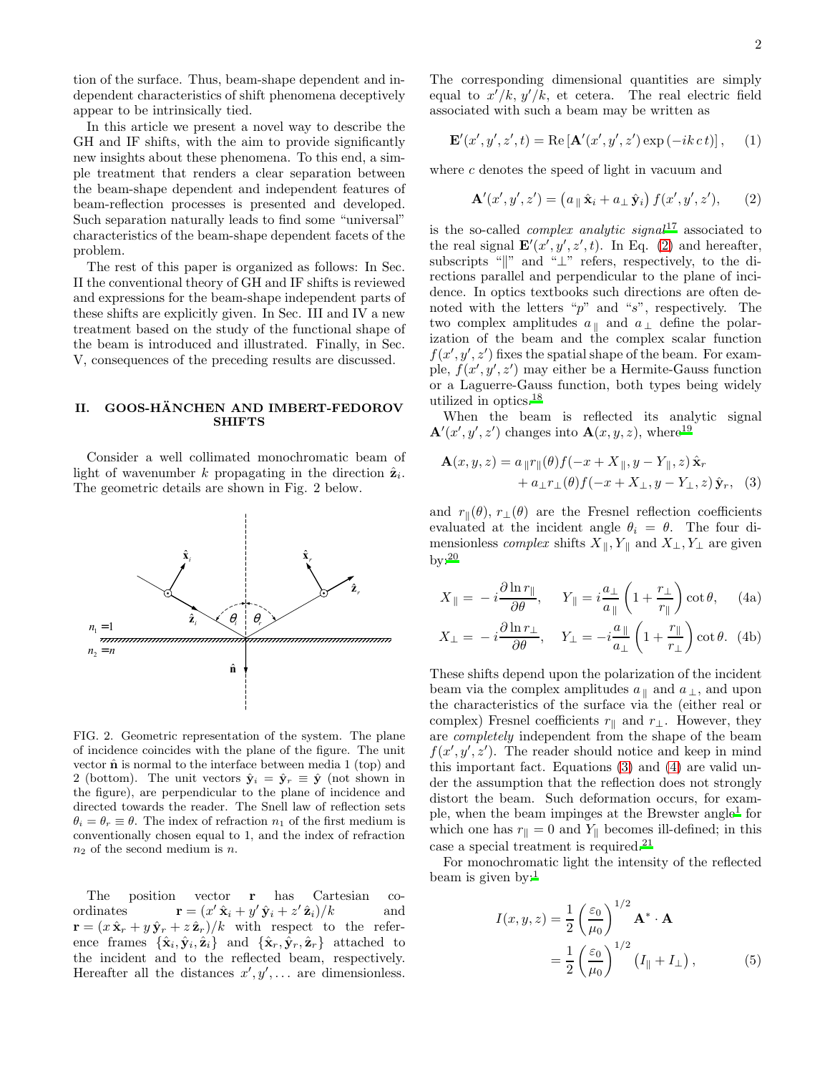tion of the surface. Thus, beam-shape dependent and independent characteristics of shift phenomena deceptively appear to be intrinsically tied.

In this article we present a novel way to describe the GH and IF shifts, with the aim to provide significantly new insights about these phenomena. To this end, a simple treatment that renders a clear separation between the beam-shape dependent and independent features of beam-reflection processes is presented and developed. Such separation naturally leads to find some "universal" characteristics of the beam-shape dependent facets of the problem.

The rest of this paper is organized as follows: In Sec. II the conventional theory of GH and IF shifts is reviewed and expressions for the beam-shape independent parts of these shifts are explicitly given. In Sec. III and IV a new treatment based on the study of the functional shape of the beam is introduced and illustrated. Finally, in Sec. V, consequences of the preceding results are discussed.

### II. GOOS-HÄNCHEN AND IMBERT-FEDOROV **SHIFTS**

Consider a well collimated monochromatic beam of light of wavenumber k propagating in the direction  $\hat{\mathbf{z}}_i$ . The geometric details are shown in Fig. 2 below.



FIG. 2. Geometric representation of the system. The plane of incidence coincides with the plane of the figure. The unit vector  $\hat{\bf{n}}$  is normal to the interface between media 1 (top) and 2 (bottom). The unit vectors  $\hat{\mathbf{y}}_i = \hat{\mathbf{y}}_r \equiv \hat{\mathbf{y}}$  (not shown in the figure), are perpendicular to the plane of incidence and directed towards the reader. The Snell law of reflection sets  $\theta_i = \theta_r \equiv \theta$ . The index of refraction  $n_1$  of the first medium is conventionally chosen equal to 1, and the index of refraction  $n_2$  of the second medium is n.

The position vector r has Cartesian coordinates  $\mathbf{r} = (x' \hat{\mathbf{x}}_i + y' \hat{\mathbf{y}}_i + z' \hat{\mathbf{z}}_i)/k$  and  $\mathbf{r} = (x \hat{\mathbf{x}}_r + y \hat{\mathbf{y}}_r + z \hat{\mathbf{z}}_r)/k$  with respect to the reference frames  $\{\hat{\mathbf{x}}_i, \hat{\mathbf{y}}_i, \hat{\mathbf{z}}_i\}$  and  $\{\hat{\mathbf{x}}_r, \hat{\mathbf{y}}_r, \hat{\mathbf{z}}_r\}$  attached to the incident and to the reflected beam, respectively. Hereafter all the distances  $x', y', \ldots$  are dimensionless.

The corresponding dimensional quantities are simply equal to  $x'/k$ ,  $y'/k$ , et cetera. The real electric field associated with such a beam may be written as

$$
\mathbf{E}'(x',y',z',t) = \text{Re}\left[\mathbf{A}'(x',y',z')\exp\left(-ik\,ct\right)\right],\qquad(1)
$$

where  $c$  denotes the speed of light in vacuum and

<span id="page-1-0"></span>
$$
\mathbf{A}'(x',y',z') = \left(a_{\parallel} \hat{\mathbf{x}}_i + a_{\perp} \hat{\mathbf{y}}_i\right) f(x',y',z'),\qquad(2)
$$

is the so-called *complex analytic signal*<sup>[17](#page-5-6)</sup> associated to the real signal  $\mathbf{E}'(x', y', z', t)$ . In Eq. [\(2\)](#page-1-0) and hereafter, subscripts " $\mathbb{R}^n$  and " $\mathbb{L}^n$  refers, respectively, to the directions parallel and perpendicular to the plane of incidence. In optics textbooks such directions are often denoted with the letters " $p$ " and " $s$ ", respectively. The two complex amplitudes  $a_{\parallel}$  and  $a_{\perp}$  define the polarization of the beam and the complex scalar function  $f(x', y', z')$  fixes the spatial shape of the beam. For example,  $f(x', y', z')$  may either be a Hermite-Gauss function or a Laguerre-Gauss function, both types being widely utilized in optics.[18](#page-5-7)

When the beam is reflected its analytic signal  $\mathbf{A}'(x',y',z')$  changes into  $\mathbf{A}(x,y,z)$ , where<sup>[19](#page-5-8)</sup>

<span id="page-1-1"></span>
$$
\mathbf{A}(x, y, z) = a_{\parallel} r_{\parallel}(\theta) f(-x + X_{\parallel}, y - Y_{\parallel}, z) \hat{\mathbf{x}}_r + a_{\perp} r_{\perp}(\theta) f(-x + X_{\perp}, y - Y_{\perp}, z) \hat{\mathbf{y}}_r, (3)
$$

and  $r_{\parallel}(\theta)$ ,  $r_{\perp}(\theta)$  are the Fresnel reflection coefficients evaluated at the incident angle  $\theta_i = \theta$ . The four dimensionless *complex* shifts  $X_{\parallel}, Y_{\parallel}$  and  $X_{\perp}, Y_{\perp}$  are given  $by: 20$  $by: 20$ 

<span id="page-1-2"></span>
$$
X_{\parallel} = -i \frac{\partial \ln r_{\parallel}}{\partial \theta}, \quad Y_{\parallel} = i \frac{a_{\perp}}{a_{\parallel}} \left( 1 + \frac{r_{\perp}}{r_{\parallel}} \right) \cot \theta, \quad (4a)
$$

$$
X_{\perp} = -i \frac{\partial \ln r_{\perp}}{\partial \theta}, \quad Y_{\perp} = -i \frac{a_{\parallel}}{a_{\perp}} \left( 1 + \frac{r_{\parallel}}{r_{\perp}} \right) \cot \theta. \tag{4b}
$$

These shifts depend upon the polarization of the incident beam via the complex amplitudes  $a_{\parallel}$  and  $a_{\perp}$ , and upon the characteristics of the surface via the (either real or complex) Fresnel coefficients  $r_{\parallel}$  and  $r_{\perp}$ . However, they are completely independent from the shape of the beam  $f(x', y', z')$ . The reader should notice and keep in mind this important fact. Equations [\(3\)](#page-1-1) and [\(4\)](#page-1-2) are valid under the assumption that the reflection does not strongly distort the beam. Such deformation occurs, for exam-ple, when the beam impinges at the Brewster angle<sup>[1](#page-5-1)</sup> for which one has  $r_{\parallel} = 0$  and  $Y_{\parallel}$  becomes ill-defined; in this case a special treatment is required.[21](#page-6-1)

For monochromatic light the intensity of the reflected beam is given by: $<sup>1</sup>$  $<sup>1</sup>$  $<sup>1</sup>$ </sup>

$$
I(x, y, z) = \frac{1}{2} \left(\frac{\varepsilon_0}{\mu_0}\right)^{1/2} \mathbf{A}^* \cdot \mathbf{A}
$$
  
= 
$$
\frac{1}{2} \left(\frac{\varepsilon_0}{\mu_0}\right)^{1/2} \left(I_{\parallel} + I_{\perp}\right),
$$
 (5)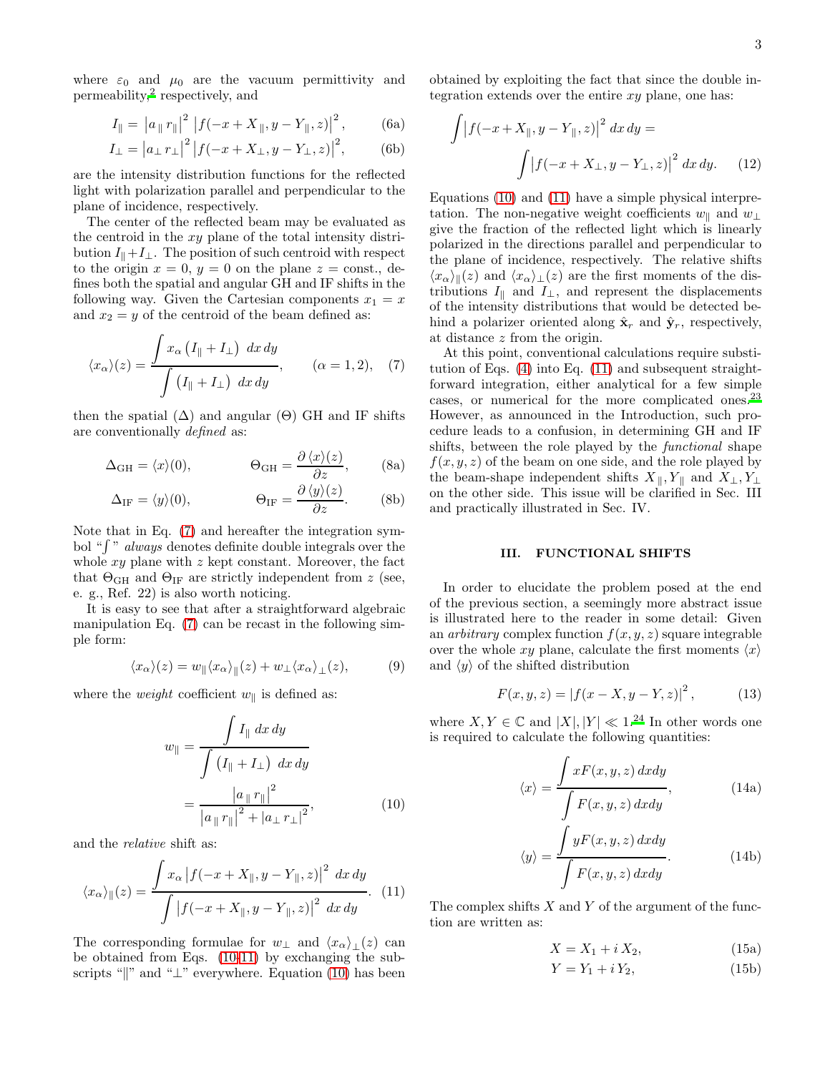where  $\varepsilon_0$  and  $\mu_0$  are the vacuum permittivity and permeability,<sup>[2](#page-5-2)</sup> respectively, and

$$
I_{\parallel} = |a_{\parallel} r_{\parallel}|^2 |f(-x + X_{\parallel}, y - Y_{\parallel}, z)|^2, \quad (6a)
$$

$$
I_{\perp} = |a_{\perp} r_{\perp}|^2 |f(-x + X_{\perp}, y - Y_{\perp}, z)|^2, \quad (6b)
$$

are the intensity distribution functions for the reflected light with polarization parallel and perpendicular to the plane of incidence, respectively.

The center of the reflected beam may be evaluated as the centroid in the  $xy$  plane of the total intensity distribution  $I_{\parallel}+I_{\perp}$ . The position of such centroid with respect to the origin  $x = 0$ ,  $y = 0$  on the plane  $z = \text{const.}$ , defines both the spatial and angular GH and IF shifts in the following way. Given the Cartesian components  $x_1 = x$ and  $x_2 = y$  of the centroid of the beam defined as:

$$
\langle x_{\alpha} \rangle(z) = \frac{\int x_{\alpha} (I_{\parallel} + I_{\perp}) \, dx \, dy}{\int (I_{\parallel} + I_{\perp}) \, dx \, dy}, \qquad (\alpha = 1, 2), \quad (7)
$$

then the spatial  $(\Delta)$  and angular  $(\Theta)$  GH and IF shifts are conventionally defined as:

<span id="page-2-4"></span>
$$
\Delta_{GH} = \langle x \rangle(0), \qquad \Theta_{GH} = \frac{\partial \langle x \rangle(z)}{\partial z}, \qquad (8a)
$$

$$
\Delta_{\text{IF}} = \langle y \rangle(0), \qquad \Theta_{\text{IF}} = \frac{\partial \langle y \rangle(z)}{\partial z}.
$$
 (8b)

Note that in Eq. [\(7\)](#page-2-0) and hereafter the integration symbol " $\int$ " always denotes definite double integrals over the whole  $xy$  plane with  $z$  kept constant. Moreover, the fact that  $\Theta$ <sub>GH</sub> and  $\Theta$ <sub>IF</sub> are strictly independent from z (see, e. g., Ref. 22) is also worth noticing.

It is easy to see that after a straightforward algebraic manipulation Eq. [\(7\)](#page-2-0) can be recast in the following simple form:

$$
\langle x_{\alpha} \rangle(z) = w_{\parallel} \langle x_{\alpha} \rangle_{\parallel}(z) + w_{\perp} \langle x_{\alpha} \rangle_{\perp}(z), \tag{9}
$$

where the *weight* coefficient  $w_{\parallel}$  is defined as:

$$
w_{\parallel} = \frac{\int I_{\parallel} dx dy}{\int (I_{\parallel} + I_{\perp}) dx dy}
$$

$$
= \frac{|a_{\parallel} r_{\parallel}|^2}{|a_{\parallel} r_{\parallel}|^2 + |a_{\perp} r_{\perp}|^2}, \qquad (10)
$$

and the relative shift as:

$$
\langle x_{\alpha} \rangle_{\parallel}(z) = \frac{\int x_{\alpha} \left| f(-x + X_{\parallel}, y - Y_{\parallel}, z) \right|^{2} dx dy}{\int \left| f(-x + X_{\parallel}, y - Y_{\parallel}, z) \right|^{2} dx dy}.
$$
 (11)

The corresponding formulae for  $w_\perp$  and  $\langle x_\alpha \rangle_\perp(z)$  can be obtained from Eqs. [\(10](#page-2-1)[-11\)](#page-2-2) by exchanging the subscripts " $\|$ " and " $\bot$ " everywhere. Equation [\(10\)](#page-2-1) has been

obtained by exploiting the fact that since the double integration extends over the entire  $xy$  plane, one has:

$$
\int |f(-x+X_{\parallel}, y-Y_{\parallel}, z)|^{2} dx dy =
$$

$$
\int |f(-x+X_{\perp}, y-Y_{\perp}, z)|^{2} dx dy.
$$
 (12)

Equations [\(10\)](#page-2-1) and [\(11\)](#page-2-2) have a simple physical interpretation. The non-negative weight coefficients  $w_{\parallel}$  and  $w_{\perp}$ give the fraction of the reflected light which is linearly polarized in the directions parallel and perpendicular to the plane of incidence, respectively. The relative shifts  $\langle x_\alpha \rangle_{\parallel}(z)$  and  $\langle x_\alpha \rangle_{\perp}(z)$  are the first moments of the distributions  $I_{\parallel}$  and  $I_{\perp}$ , and represent the displacements of the intensity distributions that would be detected behind a polarizer oriented along  $\hat{\mathbf{x}}_r$  and  $\hat{\mathbf{y}}_r$ , respectively, at distance z from the origin.

<span id="page-2-0"></span>At this point, conventional calculations require substitution of Eqs. [\(4\)](#page-1-2) into Eq. [\(11\)](#page-2-2) and subsequent straightforward integration, either analytical for a few simple cases, or numerical for the more complicated ones.<sup>[23](#page-6-2)</sup> However, as announced in the Introduction, such procedure leads to a confusion, in determining GH and IF shifts, between the role played by the *functional* shape  $f(x, y, z)$  of the beam on one side, and the role played by the beam-shape independent shifts  $X_{\parallel}, Y_{\parallel}$  and  $X_{\perp}, Y_{\perp}$ on the other side. This issue will be clarified in Sec. III and practically illustrated in Sec. IV.

#### III. FUNCTIONAL SHIFTS

In order to elucidate the problem posed at the end of the previous section, a seemingly more abstract issue is illustrated here to the reader in some detail: Given an *arbitrary* complex function  $f(x, y, z)$  square integrable over the whole xy plane, calculate the first moments  $\langle x \rangle$ and  $\langle y \rangle$  of the shifted distribution

$$
F(x, y, z) = |f(x - X, y - Y, z)|^{2},
$$
 (13)

<span id="page-2-1"></span>where  $X, Y \in \mathbb{C}$  and  $|X|, |Y| \ll 1^{24}$  $|X|, |Y| \ll 1^{24}$  $|X|, |Y| \ll 1^{24}$  In other words one is required to calculate the following quantities:

<span id="page-2-3"></span>
$$
\langle x \rangle = \frac{\int xF(x, y, z) \, dxdy}{\int F(x, y, z) \, dxdy},\tag{14a}
$$

$$
\langle y \rangle = \frac{\int yF(x, y, z) \, dx \, dy}{\int F(x, y, z) \, dx \, dy}.\tag{14b}
$$

<span id="page-2-2"></span>The complex shifts  $X$  and  $Y$  of the argument of the function are written as:

$$
X = X_1 + i X_2,\tag{15a}
$$

$$
Y = Y_1 + iY_2,\tag{15b}
$$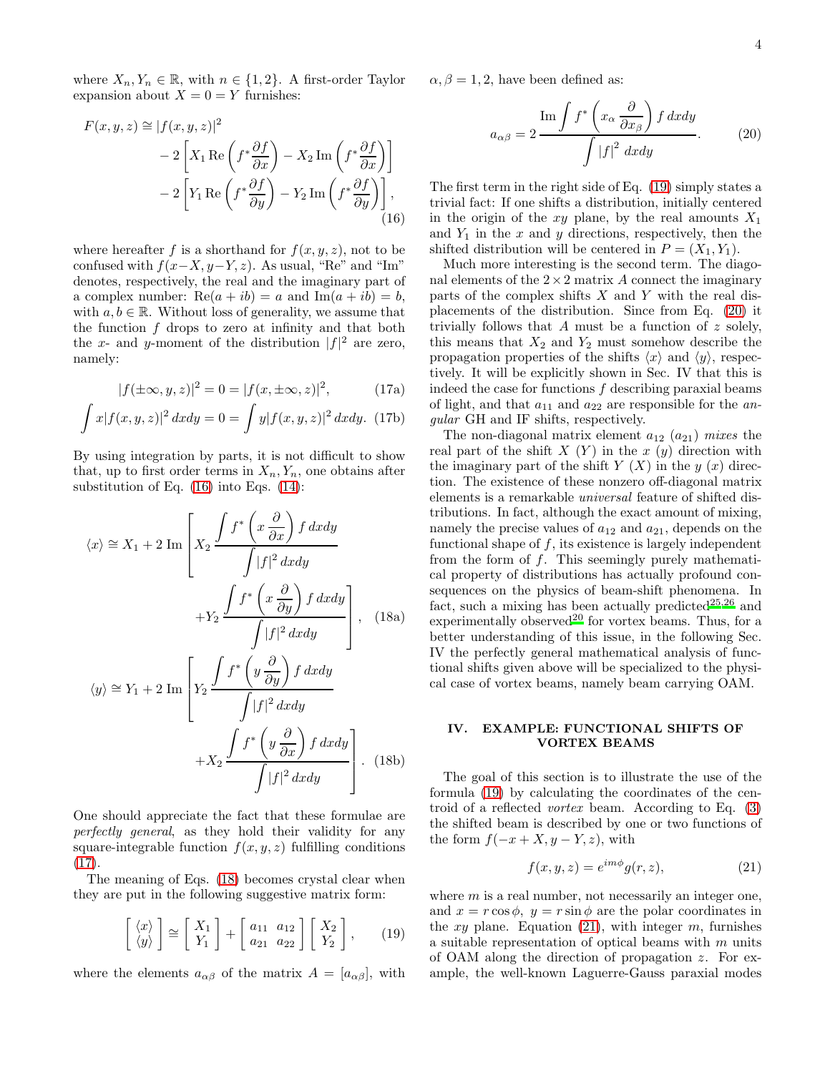where  $X_n, Y_n \in \mathbb{R}$ , with  $n \in \{1, 2\}$ . A first-order Taylor expansion about  $X = 0 = Y$  furnishes:

$$
F(x, y, z) \approx |f(x, y, z)|^2
$$
  
- 2  $\left[X_1 \text{ Re}\left(f^*\frac{\partial f}{\partial x}\right) - X_2 \text{ Im}\left(f^*\frac{\partial f}{\partial x}\right)\right]$   
- 2  $\left[Y_1 \text{ Re}\left(f^*\frac{\partial f}{\partial y}\right) - Y_2 \text{ Im}\left(f^*\frac{\partial f}{\partial y}\right)\right],$  (16)

where hereafter f is a shorthand for  $f(x, y, z)$ , not to be confused with  $f(x-X, y-Y, z)$ . As usual, "Re" and "Im" denotes, respectively, the real and the imaginary part of a complex number:  $\text{Re}(a + ib) = a$  and  $\text{Im}(a + ib) = b$ , with  $a, b \in \mathbb{R}$ . Without loss of generality, we assume that the function  $f$  drops to zero at infinity and that both the x- and y-moment of the distribution  $|f|^2$  are zero, namely:

<span id="page-3-1"></span>
$$
|f(\pm\infty, y, z)|^2 = 0 = |f(x, \pm\infty, z)|^2,
$$
 (17a)

$$
\int x|f(x,y,z)|^2 dx dy = 0 = \int y|f(x,y,z)|^2 dx dy.
$$
 (17b)

By using integration by parts, it is not difficult to show that, up to first order terms in  $X_n, Y_n$ , one obtains after substitution of Eq. [\(16\)](#page-3-0) into Eqs. [\(14\)](#page-2-3):

$$
\langle x \rangle \cong X_1 + 2 \operatorname{Im} \left[ X_2 \frac{\int f^* \left( x \frac{\partial}{\partial x} \right) f \, dx dy}{\int |f|^2 \, dx dy} \right] + Y_2 \frac{\int f^* \left( x \frac{\partial}{\partial y} \right) f \, dx dy}{\int |f|^2 \, dx dy} \right], \quad (18a)
$$

$$
\langle y \rangle \cong Y_1 + 2 \operatorname{Im} \left[ Y_2 \frac{\int f^* \left( y \frac{\partial}{\partial y} \right) f \, dx dy}{\int y^2} \right] + \sum_{i=1}^{n} \langle y \rangle \frac{\partial}{\partial y} \frac{\partial}{\partial y} \frac{\partial}{\partial y} \frac{\partial}{\partial y} dy}{\int y^2 \, dx dy} \rangle
$$

$$
\langle y \rangle \cong Y_1 + 2 \operatorname{Im} \left[ Y_2 \frac{\int |f|^2 dx dy}{\int |f|^2 dx dy} + X_2 \frac{\int f^* \left( y \frac{\partial}{\partial x} \right) f dx dy}{\int |f|^2 dx dy} \right].
$$
 (18b)

One should appreciate the fact that these formulae are perfectly general, as they hold their validity for any square-integrable function  $f(x, y, z)$  fulfilling conditions [\(17\)](#page-3-1).

The meaning of Eqs. [\(18\)](#page-3-2) becomes crystal clear when they are put in the following suggestive matrix form:

$$
\begin{bmatrix} \langle x \rangle \\ \langle y \rangle \end{bmatrix} \cong \begin{bmatrix} X_1 \\ Y_1 \end{bmatrix} + \begin{bmatrix} a_{11} & a_{12} \\ a_{21} & a_{22} \end{bmatrix} \begin{bmatrix} X_2 \\ Y_2 \end{bmatrix}, \qquad (19)
$$

where the elements  $a_{\alpha\beta}$  of the matrix  $A = [a_{\alpha\beta}],$  with

 $\alpha, \beta = 1, 2$ , have been defined as:

<span id="page-3-4"></span>
$$
a_{\alpha\beta} = 2 \frac{\text{Im} \int f^* \left( x_\alpha \frac{\partial}{\partial x_\beta} \right) f \, dx dy}{\int |f|^2 \, dx dy}.
$$
 (20)

<span id="page-3-0"></span>The first term in the right side of Eq. [\(19\)](#page-3-3) simply states a trivial fact: If one shifts a distribution, initially centered in the origin of the xy plane, by the real amounts  $X_1$ and  $Y_1$  in the x and y directions, respectively, then the shifted distribution will be centered in  $P = (X_1, Y_1)$ .

Much more interesting is the second term. The diagonal elements of the  $2 \times 2$  matrix A connect the imaginary parts of the complex shifts  $X$  and  $Y$  with the real displacements of the distribution. Since from Eq. [\(20\)](#page-3-4) it trivially follows that  $A$  must be a function of  $z$  solely, this means that  $X_2$  and  $Y_2$  must somehow describe the propagation properties of the shifts  $\langle x \rangle$  and  $\langle y \rangle$ , respectively. It will be explicitly shown in Sec. IV that this is indeed the case for functions  $f$  describing paraxial beams of light, and that  $a_{11}$  and  $a_{22}$  are responsible for the angular GH and IF shifts, respectively.

<span id="page-3-2"></span>The non-diagonal matrix element  $a_{12}$   $(a_{21})$  mixes the real part of the shift  $X(Y)$  in the  $x(y)$  direction with the imaginary part of the shift  $Y(X)$  in the  $y(x)$  direction. The existence of these nonzero off-diagonal matrix elements is a remarkable universal feature of shifted distributions. In fact, although the exact amount of mixing, namely the precise values of  $a_{12}$  and  $a_{21}$ , depends on the functional shape of  $f$ , its existence is largely independent from the form of  $f$ . This seemingly purely mathematical property of distributions has actually profound consequences on the physics of beam-shift phenomena. In fact, such a mixing has been actually predicted $25,26$  $25,26$  and experimentally observed<sup>[20](#page-6-0)</sup> for vortex beams. Thus, for a better understanding of this issue, in the following Sec. IV the perfectly general mathematical analysis of functional shifts given above will be specialized to the physical case of vortex beams, namely beam carrying OAM.

## IV. EXAMPLE: FUNCTIONAL SHIFTS OF VORTEX BEAMS

The goal of this section is to illustrate the use of the formula [\(19\)](#page-3-3) by calculating the coordinates of the centroid of a reflected vortex beam. According to Eq. [\(3\)](#page-1-1) the shifted beam is described by one or two functions of the form  $f(-x+X, y-Y, z)$ , with

<span id="page-3-5"></span>
$$
f(x, y, z) = e^{im\phi}g(r, z),
$$
\n(21)

<span id="page-3-3"></span>where  $m$  is a real number, not necessarily an integer one, and  $x = r \cos \phi$ ,  $y = r \sin \phi$  are the polar coordinates in the xy plane. Equation  $(21)$ , with integer m, furnishes a suitable representation of optical beams with m units of OAM along the direction of propagation z. For example, the well-known Laguerre-Gauss paraxial modes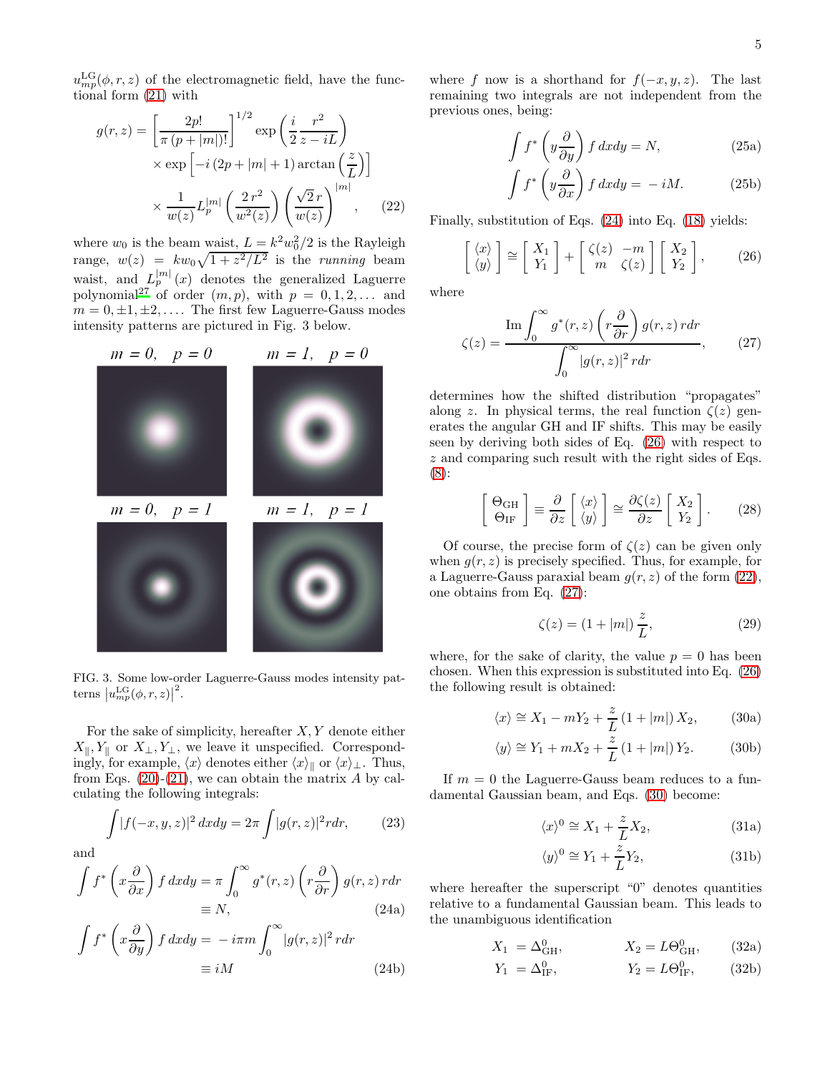$u_{mp}^{\text{LG}}(\phi, r, z)$  of the electromagnetic field, have the functional form [\(21\)](#page-3-5) with

$$
g(r,z) = \left[\frac{2p!}{\pi (p+|m|)!}\right]^{1/2} \exp\left(\frac{i}{2}\frac{r^2}{z-iL}\right)
$$

$$
\times \exp\left[-i(2p+|m|+1)\arctan\left(\frac{z}{L}\right)\right]
$$

$$
\times \frac{1}{w(z)} L_p^{|m|} \left(\frac{2r^2}{w^2(z)}\right) \left(\frac{\sqrt{2}r}{w(z)}\right)^{|m|}, \qquad (22)
$$

where  $w_0$  is the beam waist,  $L = k^2 w_0^2/2$  is the Rayleigh range,  $w(z) = kw_0\sqrt{1+z^2/L^2}$  is the running beam waist, and  $L_p^{|m|}(x)$  denotes the generalized Laguerre polynomial<sup>[27](#page-6-6)</sup> of order  $(m, p)$ , with  $p = 0, 1, 2, \ldots$  and  $m = 0, \pm 1, \pm 2, \ldots$  The first few Laguerre-Gauss modes intensity patterns are pictured in Fig. 3 below.



FIG. 3. Some low-order Laguerre-Gauss modes intensity patterns  $|u_{mp}^{\text{LG}}(\phi, r, z)|$ 2 .

For the sake of simplicity, hereafter  $X, Y$  denote either  $X_{\parallel}, Y_{\parallel}$  or  $X_{\perp}, Y_{\perp}$ , we leave it unspecified. Correspondingly, for example,  $\langle x \rangle$  denotes either  $\langle x \rangle_{\parallel}$  or  $\langle x \rangle_{\perp}$ . Thus, from Eqs.  $(20)-(21)$  $(20)-(21)$ , we can obtain the matrix A by calculating the following integrals:

$$
\int |f(-x,y,z)|^2 dx dy = 2\pi \int |g(r,z)|^2 r dr, \qquad (23)
$$

and

<span id="page-4-0"></span> $\cdot$ 

$$
\int f^* \left( x \frac{\partial}{\partial x} \right) f \, dx dy = \pi \int_0^\infty g^*(r, z) \left( r \frac{\partial}{\partial r} \right) g(r, z) \, r dr
$$

$$
\equiv N, \tag{24a}
$$

$$
\int f^* \left( x \frac{\partial}{\partial y} \right) f \, dx dy = -i\pi m \int_0^\infty |g(r, z)|^2 \, r dr
$$

$$
\equiv iM \tag{24b}
$$

where f now is a shorthand for  $f(-x, y, z)$ . The last remaining two integrals are not independent from the previous ones, being:

$$
\int f^* \left( y \frac{\partial}{\partial y} \right) f \, dx dy = N,\tag{25a}
$$

<span id="page-4-1"></span>
$$
\int f^* \left( y \frac{\partial}{\partial x} \right) f \, dx dy = -iM. \tag{25b}
$$

<span id="page-4-2"></span>Finally, substitution of Eqs. [\(24\)](#page-4-0) into Eq. [\(18\)](#page-3-2) yields:

$$
\begin{bmatrix} \langle x \rangle \\ \langle y \rangle \end{bmatrix} \cong \begin{bmatrix} X_1 \\ Y_1 \end{bmatrix} + \begin{bmatrix} \zeta(z) & -m \\ m & \zeta(z) \end{bmatrix} \begin{bmatrix} X_2 \\ Y_2 \end{bmatrix}, \qquad (26)
$$

where

<span id="page-4-3"></span>
$$
\zeta(z) = \frac{\operatorname{Im} \int_0^\infty g^*(r, z) \left( r \frac{\partial}{\partial r} \right) g(r, z) \, r dr}{\int_0^\infty |g(r, z)|^2 \, r dr},\qquad(27)
$$

determines how the shifted distribution "propagates" along z. In physical terms, the real function  $\zeta(z)$  generates the angular GH and IF shifts. This may be easily seen by deriving both sides of Eq. [\(26\)](#page-4-1) with respect to z and comparing such result with the right sides of Eqs. [\(8\)](#page-2-4):

$$
\begin{bmatrix} \Theta_{\text{GH}} \\ \Theta_{\text{IF}} \end{bmatrix} \equiv \frac{\partial}{\partial z} \begin{bmatrix} \langle x \rangle \\ \langle y \rangle \end{bmatrix} \cong \frac{\partial \zeta(z)}{\partial z} \begin{bmatrix} X_2 \\ Y_2 \end{bmatrix} . \tag{28}
$$

Of course, the precise form of  $\zeta(z)$  can be given only when  $q(r, z)$  is precisely specified. Thus, for example, for a Laguerre-Gauss paraxial beam  $g(r, z)$  of the form [\(22\)](#page-4-2), one obtains from Eq. [\(27\)](#page-4-3):

<span id="page-4-4"></span>
$$
\zeta(z) = (1 + |m|) \frac{z}{L},
$$
\n(29)

where, for the sake of clarity, the value  $p = 0$  has been chosen. When this expression is substituted into Eq. [\(26\)](#page-4-1) the following result is obtained:

$$
\langle x \rangle \cong X_1 - mY_2 + \frac{z}{L} \left( 1 + |m| \right) X_2, \tag{30a}
$$

$$
\langle y \rangle \cong Y_1 + mX_2 + \frac{z}{L} \left( 1 + |m| \right) Y_2. \tag{30b}
$$

If  $m = 0$  the Laguerre-Gauss beam reduces to a fundamental Gaussian beam, and Eqs. [\(30\)](#page-4-4) become:

$$
\langle x \rangle^0 \cong X_1 + \frac{z}{L} X_2,\tag{31a}
$$

<span id="page-4-5"></span>
$$
\langle y \rangle^0 \cong Y_1 + \frac{z}{L} Y_2,\tag{31b}
$$

where hereafter the superscript "0" denotes quantities relative to a fundamental Gaussian beam. This leads to the unambiguous identification

$$
X_1 = \Delta_{GH}^0
$$
,  $X_2 = L\Theta_{GH}^0$ , (32a)

$$
Y_1 = \Delta_{IF}^0,
$$
  $Y_2 = L\Theta_{IF}^0,$  (32b)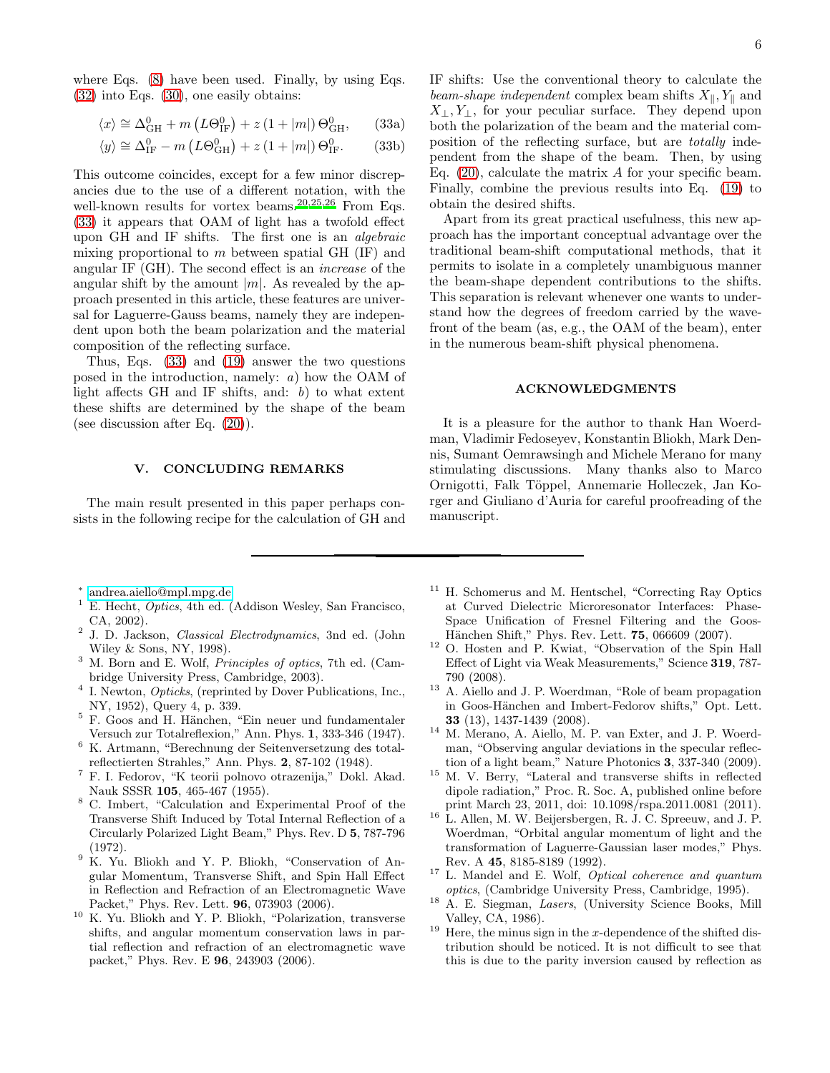where Eqs. [\(8\)](#page-2-4) have been used. Finally, by using Eqs. [\(32\)](#page-4-5) into Eqs. [\(30\)](#page-4-4), one easily obtains:

$$
\langle x \rangle \cong \Delta_{\text{GH}}^0 + m \left( L \Theta_{\text{IF}}^0 \right) + z \left( 1 + |m| \right) \Theta_{\text{GH}}^0, \qquad (33a)
$$

$$
\langle y \rangle \cong \Delta_{\text{IF}}^0 - m \left( L \Theta_{\text{GH}}^0 \right) + z \left( 1 + |m| \right) \Theta_{\text{IF}}^0. \tag{33b}
$$

This outcome coincides, except for a few minor discrepancies due to the use of a different notation, with the well-known results for vortex beams.<sup>[20](#page-6-0)[,25](#page-6-4)[,26](#page-6-5)</sup> From Eqs. [\(33\)](#page-5-9) it appears that OAM of light has a twofold effect upon GH and IF shifts. The first one is an algebraic mixing proportional to  $m$  between spatial GH (IF) and angular IF (GH). The second effect is an increase of the angular shift by the amount  $|m|$ . As revealed by the approach presented in this article, these features are universal for Laguerre-Gauss beams, namely they are independent upon both the beam polarization and the material composition of the reflecting surface.

Thus, Eqs. [\(33\)](#page-5-9) and [\(19\)](#page-3-3) answer the two questions posed in the introduction, namely: a) how the OAM of light affects GH and IF shifts, and:  $b$ ) to what extent these shifts are determined by the shape of the beam (see discussion after Eq. [\(20\)](#page-3-4)).

## V. CONCLUDING REMARKS

The main result presented in this paper perhaps consists in the following recipe for the calculation of GH and 6

<span id="page-5-9"></span>IF shifts: Use the conventional theory to calculate the beam-shape independent complex beam shifts  $X_{\parallel}$ ,  $Y_{\parallel}$  and  $X_{\perp}, Y_{\perp}$ , for your peculiar surface. They depend upon both the polarization of the beam and the material composition of the reflecting surface, but are totally independent from the shape of the beam. Then, by using Eq.  $(20)$ , calculate the matrix A for your specific beam. Finally, combine the previous results into Eq. [\(19\)](#page-3-3) to obtain the desired shifts.

Apart from its great practical usefulness, this new approach has the important conceptual advantage over the traditional beam-shift computational methods, that it permits to isolate in a completely unambiguous manner the beam-shape dependent contributions to the shifts. This separation is relevant whenever one wants to understand how the degrees of freedom carried by the wavefront of the beam (as, e.g., the OAM of the beam), enter in the numerous beam-shift physical phenomena.

#### ACKNOWLEDGMENTS

It is a pleasure for the author to thank Han Woerdman, Vladimir Fedoseyev, Konstantin Bliokh, Mark Dennis, Sumant Oemrawsingh and Michele Merano for many stimulating discussions. Many thanks also to Marco Ornigotti, Falk Töppel, Annemarie Holleczek, Jan Korger and Giuliano d'Auria for careful proofreading of the manuscript.

- ∗ [andrea.aiello@mpl.mpg.de](mailto:andrea.aiello@mpl.mpg.de)
- <span id="page-5-1"></span><span id="page-5-0"></span><sup>1</sup> E. Hecht, Optics, 4th ed. (Addison Wesley, San Francisco, CA, 2002).
- <span id="page-5-2"></span><sup>2</sup> J. D. Jackson, *Classical Electrodynamics*, 3nd ed. (John Wiley & Sons, NY, 1998).
- <span id="page-5-3"></span><sup>3</sup> M. Born and E. Wolf, Principles of optics, 7th ed. (Cambridge University Press, Cambridge, 2003).
- <span id="page-5-4"></span><sup>4</sup> I. Newton, *Opticks*, (reprinted by Dover Publications, Inc., NY, 1952), Query 4, p. 339.
- $5$  F. Goos and H. Hänchen, "Ein neuer und fundamentaler Versuch zur Totalreflexion," Ann. Phys. 1, 333-346 (1947).
- <sup>6</sup> K. Artmann, "Berechnung der Seitenversetzung des totalreflectierten Strahles," Ann. Phys. 2, 87-102 (1948).
- <sup>7</sup> F. I. Fedorov, "K teorii polnovo otrazenija," Dokl. Akad. Nauk SSSR 105, 465-467 (1955).
- <sup>8</sup> C. Imbert, "Calculation and Experimental Proof of the Transverse Shift Induced by Total Internal Reflection of a Circularly Polarized Light Beam," Phys. Rev. D 5, 787-796 (1972).
- <sup>9</sup> K. Yu. Bliokh and Y. P. Bliokh, "Conservation of Angular Momentum, Transverse Shift, and Spin Hall Effect in Reflection and Refraction of an Electromagnetic Wave Packet," Phys. Rev. Lett. 96, 073903 (2006).
- <sup>10</sup> K. Yu. Bliokh and Y. P. Bliokh, "Polarization, transverse shifts, and angular momentum conservation laws in partial reflection and refraction of an electromagnetic wave packet," Phys. Rev. E 96, 243903 (2006).
- <sup>11</sup> H. Schomerus and M. Hentschel, "Correcting Ray Optics at Curved Dielectric Microresonator Interfaces: Phase-Space Unification of Fresnel Filtering and the Goos-Hänchen Shift," Phys. Rev. Lett. **75**, 066609 (2007).
- <sup>12</sup> O. Hosten and P. Kwiat, "Observation of the Spin Hall Effect of Light via Weak Measurements," Science 319, 787- 790 (2008).
- <sup>13</sup> A. Aiello and J. P. Woerdman, "Role of beam propagation in Goos-Hänchen and Imbert-Fedorov shifts," Opt. Lett. 33 (13), 1437-1439 (2008).
- <sup>14</sup> M. Merano, A. Aiello, M. P. van Exter, and J. P. Woerdman, "Observing angular deviations in the specular reflection of a light beam," Nature Photonics 3, 337-340 (2009).
- <sup>15</sup> M. V. Berry, "Lateral and transverse shifts in reflected dipole radiation," Proc. R. Soc. A, published online before print March 23, 2011, doi: 10.1098/rspa.2011.0081 (2011).
- <span id="page-5-5"></span> $16$  L. Allen, M. W. Beijersbergen, R. J. C. Spreeuw, and J. P. Woerdman, "Orbital angular momentum of light and the transformation of Laguerre-Gaussian laser modes," Phys. Rev. A 45, 8185-8189 (1992).
- <span id="page-5-6"></span> $17$  L. Mandel and E. Wolf, *Optical coherence and quantum* optics, (Cambridge University Press, Cambridge, 1995).
- <span id="page-5-7"></span><sup>18</sup> A. E. Siegman, Lasers, (University Science Books, Mill Valley, CA, 1986).
- <span id="page-5-8"></span> $19$  Here, the minus sign in the x-dependence of the shifted distribution should be noticed. It is not difficult to see that this is due to the parity inversion caused by reflection as